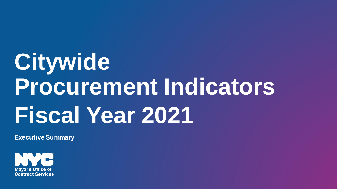## **Citywide Procurement Indicators Fiscal Year 2021**

**Executive Summary**

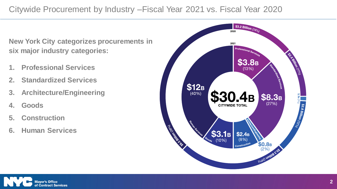## Citywide Procurement by Industry –Fiscal Year 2021 vs. Fiscal Year 2020

**New York City categorizes procurements in six major industry categories:**

- **1. Professional Services**
- **2. Standardized Services**
- **3. Architecture/Engineering**
- **4. Goods**
- **5. Construction**
- **6. Human Services**



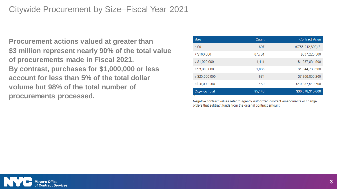**Procurement actions valued at greater than \$3 million represent nearly 90% of the total value of procurements made in Fiscal 2021. By contrast, purchases for \$1,000,000 or less account for less than 5% of the total dollar volume but 98% of the total number of procurements processed.**

| <b>Size</b>           | Count  | <b>Contract Value</b> |
|-----------------------|--------|-----------------------|
| $\leq$ \$0            | 897    | $($755,912,600)^1$    |
| $\leq$ \$100,000      | 87,731 | \$537,223,500         |
| $\le$ \$1,000,000     | 4,411  | \$1,687,064,500       |
| $\leq$ \$3,000,000    | 1,085  | \$1,844,780,300       |
| $\le$ \$25,000,000    | 874    | \$7,208,635,200       |
| > \$25,000,000        | 150    | \$19,857,519,700      |
| <b>Citywide Total</b> | 95,148 | \$30,379,310,600      |

Negative contract values refer to agency-authorized contract amendments or change orders that subtract funds from the original contract amount.

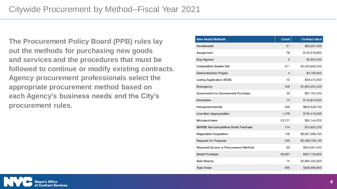**The Procurement Policy Board (PPB) rules lay out the methods for purchasing new goods and services and the procedures that must be followed to continue or modify existing contracts. Agency procurement professionals select the appropriate procurement method based on each Agency's business needs and the City's procurement rules.**

| <b>New Award Methods</b>                     | <b>Count</b>   | <b>Contract Value</b> |
|----------------------------------------------|----------------|-----------------------|
| Accelerated                                  | 51             | \$83,297,300          |
| Assignment                                   | 79             | \$154,316,900         |
| <b>Buy-Against</b>                           | $\overline{2}$ | \$2,952,200           |
| <b>Competitive Sealed Bid</b>                | 371            | \$3,349,609,400       |
| <b>Demonstration Project</b>                 | $\overline{4}$ | \$4,189,000           |
| <b>Listing Application (DOE)</b>             | 12             | \$49,474,500          |
| Emergency                                    | 429            | \$1,942,281,200       |
| Government-to-Government Purchase            | 33             | \$67,765,200          |
| Innovative                                   | 14             | \$134,874,200         |
| Intergovernmental                            | 263            | \$635,528,700         |
| <b>Line-Item Appropriation</b>               | 1,479          | \$184,416,200         |
| Micropurchase                                | 23,731         | \$85,144,200          |
| <b>M/WBE Noncompetitive Small Purchase</b>   | 714            | \$75,805,200          |
| <b>Negotiated Acquisition</b>                | 145            | \$6,927,266,700       |
| <b>Request for Proposal</b>                  | 355            | \$5,488,708,100       |
| <b>Required Source or Procurement Method</b> | 80             | \$224,587,400         |
| <b>Small Purchase</b>                        | 58,867         | \$261,739,900         |
| <b>Sole Source</b>                           | 74             | \$2,065,402,500       |
| <b>Task Order</b>                            | 385            | \$306,909,800         |

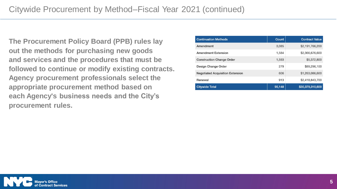**The Procurement Policy Board (PPB) rules lay out the methods for purchasing new goods and services and the procedures that must be followed to continue or modify existing contracts. Agency procurement professionals select the appropriate procurement method based on each Agency's business needs and the City's procurement rules.**

| <b>Continuation Methods</b>             | Count  | <b>Contract Value</b> |
|-----------------------------------------|--------|-----------------------|
| Amendment                               | 3.085  | \$2,191,766,200       |
| <b>Amendment Extension</b>              | 1,584  | \$2,366,676,600       |
| <b>Construction Change Order</b>        | 1.593  | \$5,372,800           |
| Design Change Order                     | 279    | \$89,296,100          |
| <b>Negotiated Acquisition Extension</b> | 606    | \$1,263,086,600       |
| Renewal                                 | 913    | \$2,418,843,700       |
| <b>Citywide Total</b>                   | 95,148 | \$30,379,310,600      |

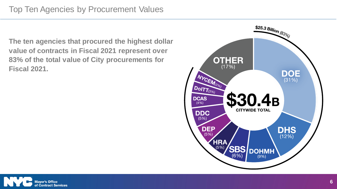**The ten agencies that procured the highest dollar value of contracts in Fiscal 2021 represent over 83% of the total value of City procurements for Fiscal 2021.**



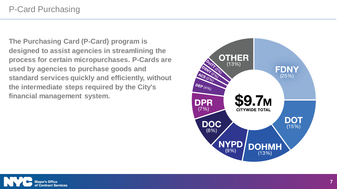**The Purchasing Card (P-Card) program is designed to assist agencies in streamlining the process for certain micropurchases. P-Cards are used by agencies to purchase goods and standard services quickly and efficiently, without the intermediate steps required by the City's financial management system.**



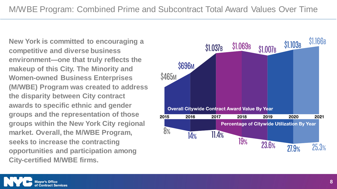**New York is committed to encouraging a competitive and diverse business environment—one that truly reflects the makeup of this City. The Minority and Women-owned Business Enterprises (M/WBE) Program was created to address the disparity between City contract awards to specific ethnic and gender groups and the representation of those groups within the New York City regional market. Overall, the M/WBE Program, seeks to increase the contracting opportunities and participation among City-certified M/WBE firms.**

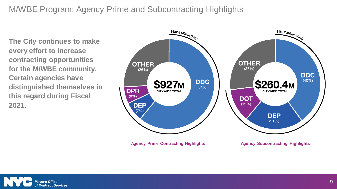## M/WBE Program: Agency Prime and Subcontracting Highlights

**The City continues to make every effort to increase contracting opportunities for the M/WBE community. Certain agencies have distinguished themselves in this regard during Fiscal 2021.**